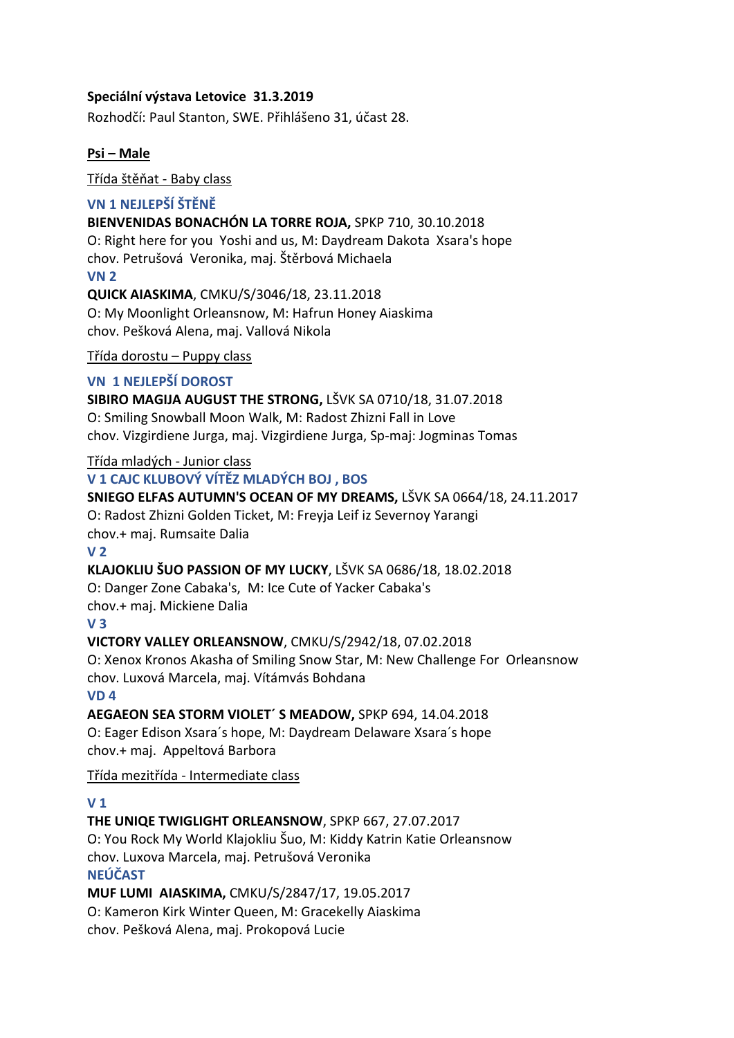## **Speciální výstava Letovice 31.3.2019**

Rozhodčí: Paul Stanton, SWE. Přihlášeno 31, účast 28.

## **Psi – Male**

Třída štěňat - Baby class

## **VN 1 NEJLEPŠÍ ŠTĚNĚ**

### **BIENVENIDAS BONACHÓN LA TORRE ROJA,** SPKP 710, 30.10.2018

O: Right here for you Yoshi and us, M: Daydream Dakota Xsara's hope chov. Petrušová Veronika, maj. Štěrbová Michaela **VN 2**

**QUICK AIASKIMA**, CMKU/S/3046/18, 23.11.2018 O: My Moonlight Orleansnow, M: Hafrun Honey Aiaskima chov. Pešková Alena, maj. Vallová Nikola

#### Třída dorostu – Puppy class

# **VN 1 NEJLEPŠÍ DOROST**

**SIBIRO MAGIJA AUGUST THE STRONG,** LŠVK SA 0710/18, 31.07.2018 O: Smiling Snowball Moon Walk, M: Radost Zhizni Fall in Love chov. Vizgirdiene Jurga, maj. Vizgirdiene Jurga, Sp-maj: Jogminas Tomas

# Třída mladých - Junior class

## **V 1 CAJC KLUBOVÝ VÍTĚZ MLADÝCH BOJ , BOS**

## **SNIEGO ELFAS AUTUMN'S OCEAN OF MY DREAMS,** LŠVK SA 0664/18, 24.11.2017

O: Radost Zhizni Golden Ticket, M: Freyja Leif iz Severnoy Yarangi chov.+ maj. Rumsaite Dalia

#### **V 2**

# **KLAJOKLIU ŠUO PASSION OF MY LUCKY**, LŠVK SA 0686/18, 18.02.2018

O: Danger Zone Cabaka's, M: Ice Cute of Yacker Cabaka's

chov.+ maj. Mickiene Dalia

#### **V 3**

# **VICTORY VALLEY ORLEANSNOW**, CMKU/S/2942/18, 07.02.2018

O: Xenox Kronos Akasha of Smiling Snow Star, M: New Challenge For Orleansnow chov. Luxová Marcela, maj. Vítámvás Bohdana

## **VD 4**

**AEGAEON SEA STORM VIOLET´ S MEADOW,** SPKP 694, 14.04.2018

O: Eager Edison Xsara´s hope, M: Daydream Delaware Xsara´s hope chov.+ maj. Appeltová Barbora

# Třída mezitřída - Intermediate class

# **V 1**

# **THE UNIQE TWIGLIGHT ORLEANSNOW**, SPKP 667, 27.07.2017

O: You Rock My World Klajokliu Šuo, M: Kiddy Katrin Katie Orleansnow chov. Luxova Marcela, maj. Petrušová Veronika

# **NEÚČAST**

**MUF LUMI AIASKIMA,** CMKU/S/2847/17, 19.05.2017

O: Kameron Kirk Winter Queen, M: Gracekelly Aiaskima chov. Pešková Alena, maj. Prokopová Lucie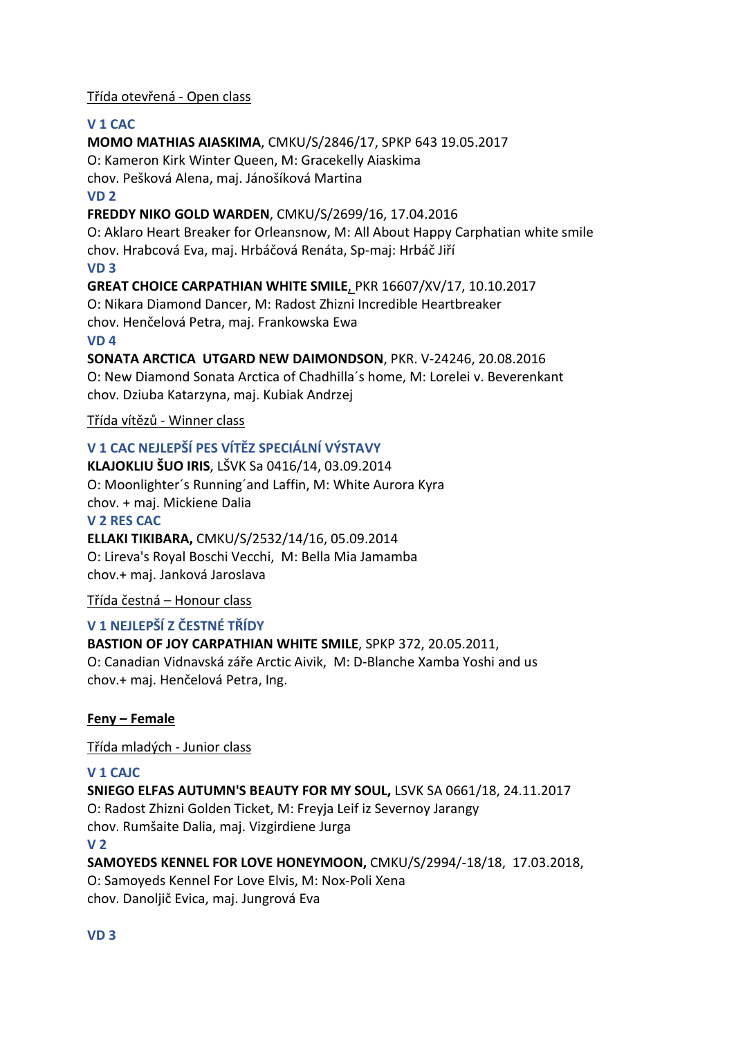# Třída otevřená - Open class

## **V 1 CAC**

**MOMO MATHIAS AIASKIMA**, CMKU/S/2846/17, SPKP 643 19.05.2017 O: Kameron Kirk Winter Queen, M: Gracekelly Aiaskima chov. Pešková Alena, maj. Jánošíková Martina **VD 2 FREDDY NIKO GOLD WARDEN**, CMKU/S/2699/16, 17.04.2016

O: Aklaro Heart Breaker for Orleansnow, M: All About Happy Carphatian white smile chov. Hrabcová Eva, maj. Hrbáčová Renáta, Sp-maj: Hrbáč Jiří

#### **VD 3**

**GREAT CHOICE CARPATHIAN WHITE SMILE**, PKR 16607/XV/17, 10.10.2017

O: Nikara Diamond Dancer, M: Radost Zhizni Incredible Heartbreaker chov. Henčelová Petra, maj. Frankowska Ewa

#### **VD 4**

# **SONATA ARCTICA UTGARD NEW DAIMONDSON**, PKR. V-24246, 20.08.2016

O: New Diamond Sonata Arctica of Chadhilla´s home, M: Lorelei v. Beverenkant chov. Dziuba Katarzyna, maj. Kubiak Andrzej

## Třída vítězů - Winner class

# **V 1 CAC NEJLEPŠÍ PES VÍTĚZ SPECIÁLNÍ VÝSTAVY**

**KLAJOKLIU ŠUO IRIS**, LŠVK Sa 0416/14, 03.09.2014 O: Moonlighter´s Running´and Laffin, M: White Aurora Kyra chov. + maj. Mickiene Dalia **V 2 RES CAC**

# **ELLAKI TIKIBARA,** CMKU/S/2532/14/16, 05.09.2014 O: Lireva's Royal Boschi Vecchi, M: Bella Mia Jamamba chov.+ maj. Janková Jaroslava

#### Třída čestná – Honour class

# **V 1 NEJLEPŠÍ Z ČESTNÉ TŘÍDY**

# **BASTION OF JOY CARPATHIAN WHITE SMILE**, SPKP 372, 20.05.2011,

O: Canadian Vidnavská záře Arctic Aivik, M: D-Blanche Xamba Yoshi and us chov.+ maj. Henčelová Petra, Ing.

# **Feny – Female**

#### Třída mladých - Junior class

#### **V 1 CAJC**

**SNIEGO ELFAS AUTUMN'S BEAUTY FOR MY SOUL,** LSVK SA 0661/18, 24.11.2017

O: Radost Zhizni Golden Ticket, M: Freyja Leif iz Severnoy Jarangy chov. Rumšaite Dalia, maj. Vizgirdiene Jurga

#### **V 2**

# **SAMOYEDS KENNEL FOR LOVE HONEYMOON,** CMKU/S/2994/-18/18, 17.03.2018,

O: Samoyeds Kennel For Love Elvis, M: Nox-Poli Xena chov. Danoljič Evica, maj. Jungrová Eva

# **VD 3**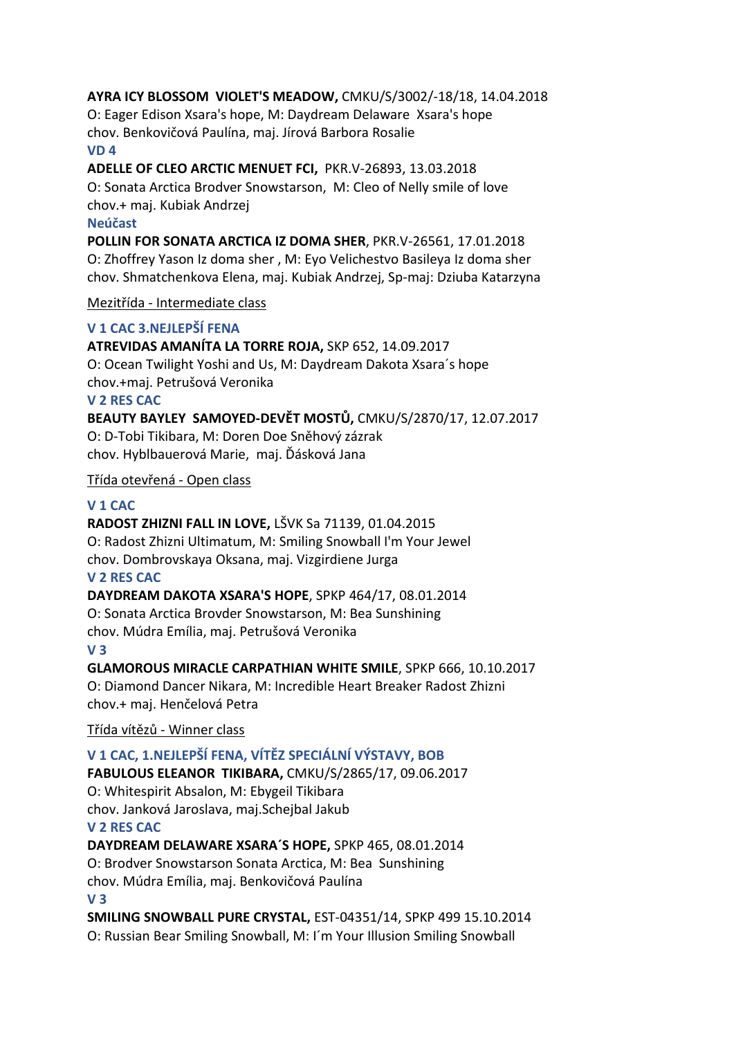## **AYRA ICY BLOSSOM VIOLET'S MEADOW,** CMKU/S/3002/-18/18, 14.04.2018

O: Eager Edison Xsara's hope, M: Daydream Delaware Xsara's hope chov. Benkovičová Paulína, maj. Jírová Barbora Rosalie **VD 4**

**ADELLE OF CLEO ARCTIC MENUET FCI,** PKR.V-26893, 13.03.2018 O: Sonata Arctica Brodver Snowstarson, M: Cleo of Nelly smile of love chov.+ maj. Kubiak Andrzej

#### **Neúčast**

**POLLIN FOR SONATA ARCTICA IZ DOMA SHER**, PKR.V-26561, 17.01.2018 O: Zhoffrey Yason Iz doma sher , M: Eyo Velichestvo Basileya Iz doma sher chov. Shmatchenkova Elena, maj. Kubiak Andrzej, Sp-maj: Dziuba Katarzyna

#### Mezitřída - Intermediate class

## **V 1 CAC 3.NEJLEPŠÍ FENA**

# **ATREVIDAS AMANÍTA LA TORRE ROJA,** SKP 652, 14.09.2017

O: Ocean Twilight Yoshi and Us, M: Daydream Dakota Xsara´s hope chov.+maj. Petrušová Veronika

#### **V 2 RES CAC**

**BEAUTY BAYLEY SAMOYED-DEVĚT MOSTŮ,** CMKU/S/2870/17, 12.07.2017 O: D-Tobi Tikibara, M: Doren Doe Sněhový zázrak chov. Hyblbauerová Marie, maj. Ďásková Jana

#### Třída otevřená - Open class

## **V 1 CAC**

**RADOST ZHIZNI FALL IN LOVE,** LŠVK Sa 71139, 01.04.2015 O: Radost Zhizni Ultimatum, M: Smiling Snowball I'm Your Jewel chov. Dombrovskaya Oksana, maj. Vizgirdiene Jurga **V 2 RES CAC**

#### **DAYDREAM DAKOTA XSARA'S HOPE**, SPKP 464/17, 08.01.2014

O: Sonata Arctica Brovder Snowstarson, M: Bea Sunshining chov. Múdra Emília, maj. Petrušová Veronika **V 3**

**GLAMOROUS MIRACLE CARPATHIAN WHITE SMILE**, SPKP 666, 10.10.2017 O: Diamond Dancer Nikara, M: Incredible Heart Breaker Radost Zhizni chov.+ maj. Henčelová Petra

Třída vítězů - Winner class

# **V 1 CAC, 1.NEJLEPŠÍ FENA, VÍTĚZ SPECIÁLNÍ VÝSTAVY, BOB**

**FABULOUS ELEANOR TIKIBARA,** CMKU/S/2865/17, 09.06.2017 O: Whitespirit Absalon, M: Ebygeil Tikibara chov. Janková Jaroslava, maj.Schejbal Jakub

### **V 2 RES CAC**

**DAYDREAM DELAWARE XSARA´S HOPE,** SPKP 465, 08.01.2014

O: Brodver Snowstarson Sonata Arctica, M: Bea Sunshining

chov. Múdra Emília, maj. Benkovičová Paulína

**V 3**

**SMILING SNOWBALL PURE CRYSTAL,** EST-04351/14, SPKP 499 15.10.2014 O: Russian Bear Smiling Snowball, M: I´m Your Illusion Smiling Snowball